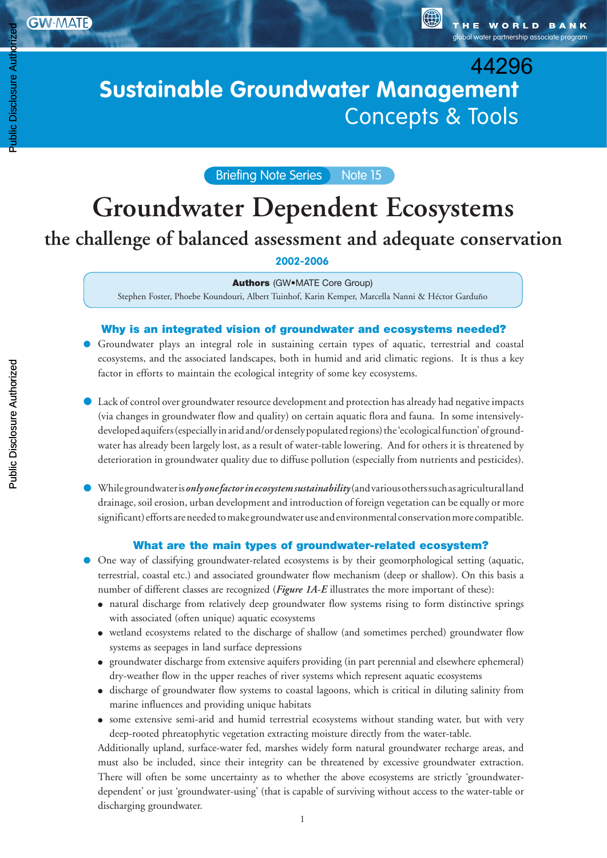Public Disclosure Authorized

Public Disclosure Authoriz

global water partnership associate program

G)

# Sustainable Groundwater Management: **Sustainable Groundwater Management Concepts & Tools** 44296

Briefing Note Series Note 15

# **Groundwater Dependent Ecosystems the challenge of balanced assessment and adequate conservation**

**2002-2006**

#### Authors (GW•MATE Core Group)

Stephen Foster, Phoebe Koundouri, Albert Tuinhof, Karin Kemper, Marcella Nanni & Héctor Garduño

### Why is an integrated vision of groundwater and ecosystems needed?

- Groundwater plays an integral role in sustaining certain types of aquatic, terrestrial and coastal ecosystems, and the associated landscapes, both in humid and arid climatic regions. It is thus a key factor in efforts to maintain the ecological integrity of some key ecosystems.
- Lack of control over groundwater resource development and protection has already had negative impacts (via changes in groundwater flow and quality) on certain aquatic flora and fauna. In some intensivelydeveloped aquifers (especially in arid and/or densely populated regions) the 'ecological function' of groundwater has already been largely lost, as a result of water-table lowering. And for others it is threatened by deterioration in groundwater quality due to diffuse pollution (especially from nutrients and pesticides).
- While groundwater is *only one factor in ecosystem sustainability* (and various others such as agricultural land drainage, soil erosion, urban development and introduction of foreign vegetation can be equally or more significant) efforts are needed to make groundwater use and environmental conservation more compatible.

### What are the main types of groundwater-related ecosystem?

- One way of classifying groundwater-related ecosystems is by their geomorphological setting (aquatic, terrestrial, coastal etc.) and associated groundwater flow mechanism (deep or shallow). On this basis a number of different classes are recognized (*Figure 1A-E* illustrates the more important of these):
	- natural discharge from relatively deep groundwater flow systems rising to form distinctive springs with associated (often unique) aquatic ecosystems
	- wetland ecosystems related to the discharge of shallow (and sometimes perched) groundwater flow systems as seepages in land surface depressions
	- groundwater discharge from extensive aquifers providing (in part perennial and elsewhere ephemeral) dry-weather flow in the upper reaches of river systems which represent aquatic ecosystems
	- discharge of groundwater flow systems to coastal lagoons, which is critical in diluting salinity from marine influences and providing unique habitats
	- some extensive semi-arid and humid terrestrial ecosystems without standing water, but with very deep-rooted phreatophytic vegetation extracting moisture directly from the water-table.

Additionally upland, surface-water fed, marshes widely form natural groundwater recharge areas, and must also be included, since their integrity can be threatened by excessive groundwater extraction. There will often be some uncertainty as to whether the above ecosystems are strictly 'groundwaterdependent' or just 'groundwater-using' (that is capable of surviving without access to the water-table or discharging groundwater.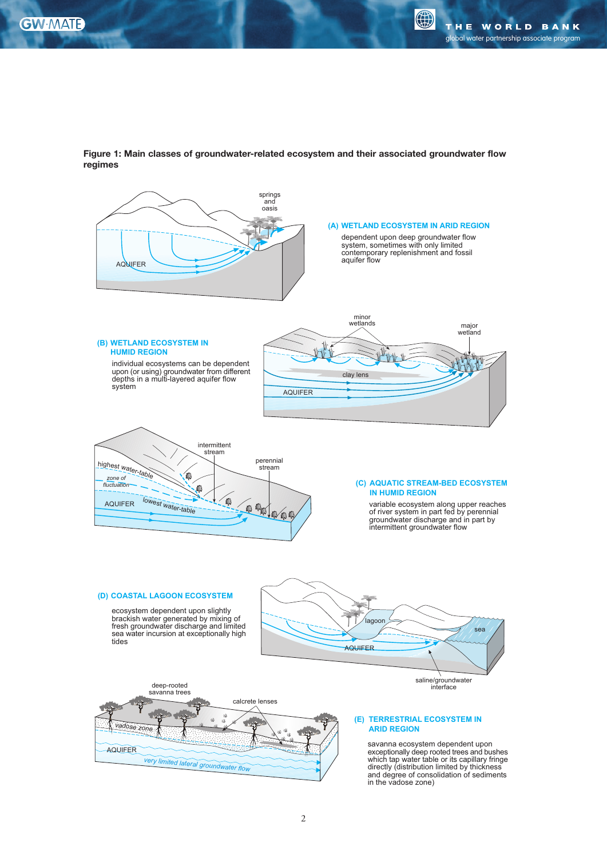0



Figure 1: Main classes of groundwater-related ecosystem and their associated groundwater flow regimes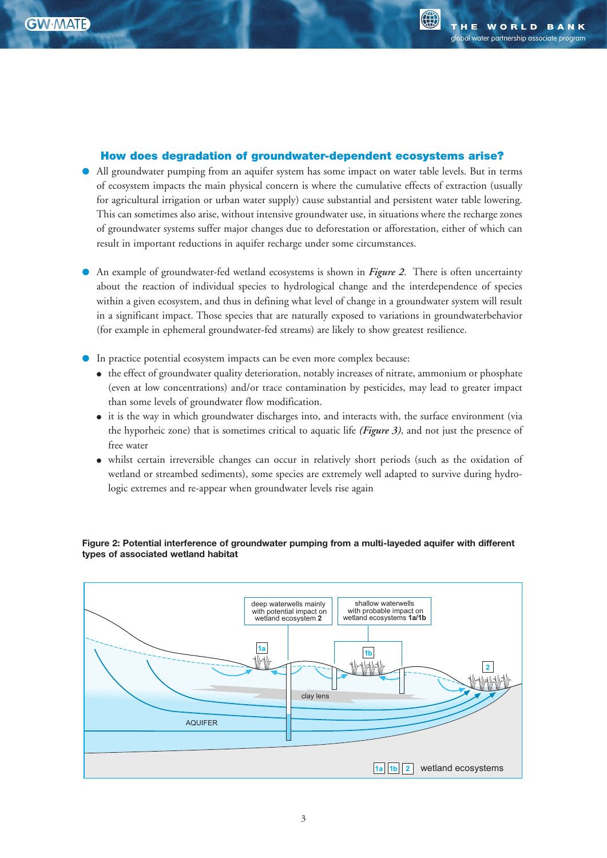#### How does degradation of groundwater-dependent ecosystems arise?

- All groundwater pumping from an aquifer system has some impact on water table levels. But in terms of ecosystem impacts the main physical concern is where the cumulative effects of extraction (usually for agricultural irrigation or urban water supply) cause substantial and persistent water table lowering. This can sometimes also arise, without intensive groundwater use, in situations where the recharge zones of groundwater systems suffer major changes due to deforestation or afforestation, either of which can result in important reductions in aquifer recharge under some circumstances.
- An example of groundwater-fed wetland ecosystems is shown in *Figure 2*. There is often uncertainty about the reaction of individual species to hydrological change and the interdependence of species within a given ecosystem, and thus in defining what level of change in a groundwater system will result in a significant impact. Those species that are naturally exposed to variations in groundwaterbehavior (for example in ephemeral groundwater-fed streams) are likely to show greatest resilience.
- In practice potential ecosystem impacts can be even more complex because:
	- the effect of groundwater quality deterioration, notably increases of nitrate, ammonium or phosphate (even at low concentrations) and/or trace contamination by pesticides, may lead to greater impact than some levels of groundwater flow modification.
	- it is the way in which groundwater discharges into, and interacts with, the surface environment (via the hyporheic zone) that is sometimes critical to aquatic life (Figure 3), and not just the presence of free water
	- whilst certain irreversible changes can occur in relatively short periods (such as the oxidation of wetland or streambed sediments), some species are extremely well adapted to survive during hydrologic extremes and re-appear when groundwater levels rise again



Figure 2: Potential interference of groundwater pumping from a multi-layeded aquifer with different types of associated wetland habitat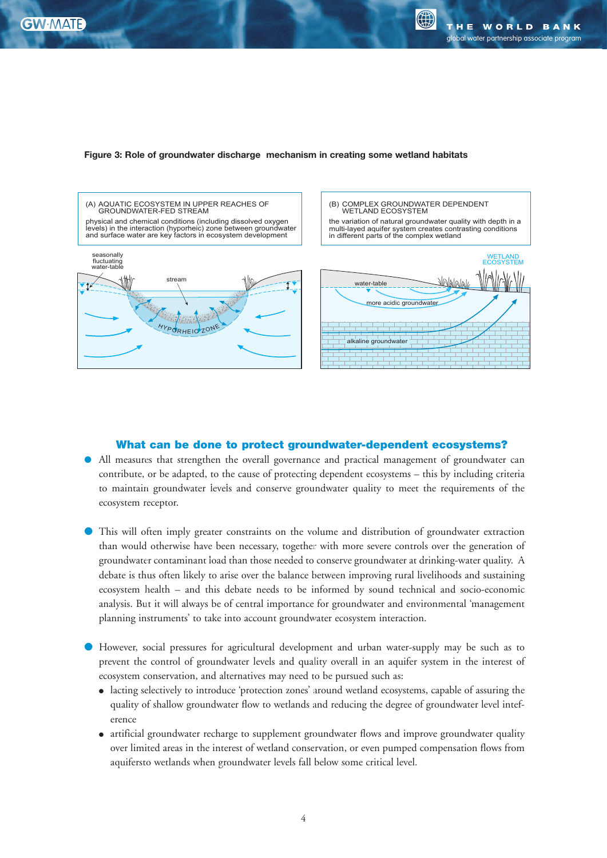$\left(\begin{smallmatrix} 1 & 1 \\ 1 & 1 \end{smallmatrix}\right)$ 





### What can be done to protect groundwater-dependent ecosystems?

- All measures that strengthen the overall governance and practical management of groundwater can contribute, or be adapted, to the cause of protecting dependent ecosystems – this by including criteria to maintain groundwater levels and conserve groundwater quality to meet the requirements of the ecosystem receptor.
- This will often imply greater constraints on the volume and distribution of groundwater extraction than would otherwise have been necessary, together with more severe controls over the generation of groundwater contaminant load than those needed to conserve groundwater at drinking-water quality. A debate is thus often likely to arise over the balance between improving rural livelihoods and sustaining ecosystem health - and this debate needs to be informed by sound technical and socio-economic analysis. But it will always be of central importance for groundwater and environmental 'management planning instruments' to take into account groundwater ecosystem interaction.
- However, social pressures for agricultural development and urban water-supply may be such as to prevent the control of groundwater levels and quality overall in an aquifer system in the interest of ecosystem conservation, and alternatives may need to be pursued such as:
	- lacting selectively to introduce 'protection zones' around wetland ecosystems, capable of assuring the quality of shallow groundwater flow to wetlands and reducing the degree of groundwater level inteference
	- artificial groundwater recharge to supplement groundwater flows and improve groundwater quality over limited areas in the interest of wetland conservation, or even pumped compensation flows from aquifersto wetlands when groundwater levels fall below some critical level.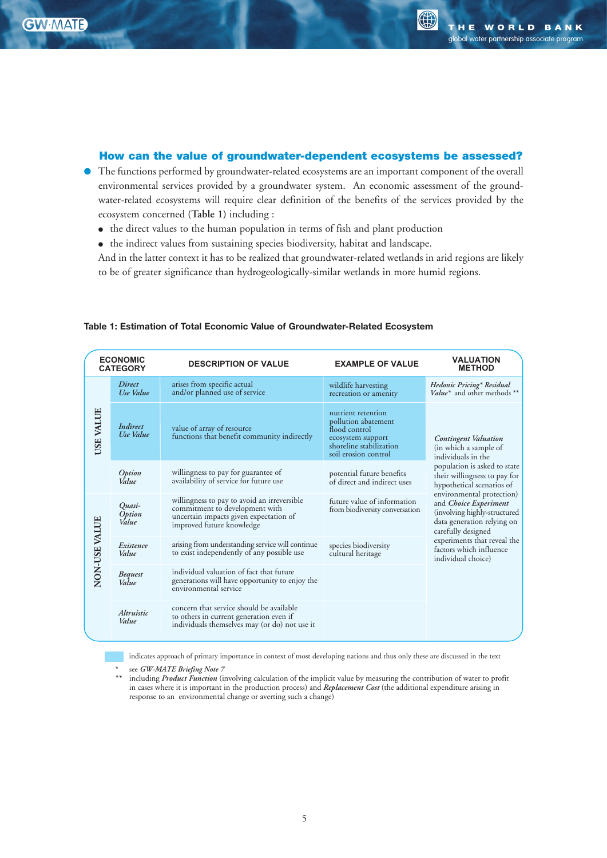**>>}iiÌ**

**!DVISORY 4EAM**

 $\bigoplus$ 

## How can the value of groundwater-dependent ecosystems be assessed?

- The functions performed by groundwater-related ecosystems are an important component of the overall environmental services provided by a groundwater system. An economic assessment of the groundwater-related ecosystems will require clear definition of the benefits of the services provided by the ecosystem concerned **(Table 1)** including :
	- the direct values to the human population in terms of fish and plant production
	- the indirect values from sustaining species biodiversity, habitat and landscape.

And in the latter context it has to be realized that groundwater-related wetlands in arid regions are likely to be of greater significance than hydrogeologically-similar wetlands in more humid regions.

| <b>ECONOMIC</b><br><b>CATEGORY</b> |                              | <b>DESCRIPTION OF VALUE</b>                                                                                                                          | <b>EXAMPLE OF VALUE</b>                                                                                                            | <b>VALUATION</b><br><b>METHOD</b>                                                                                                                                                                                                                                                                                                                                                                        |
|------------------------------------|------------------------------|------------------------------------------------------------------------------------------------------------------------------------------------------|------------------------------------------------------------------------------------------------------------------------------------|----------------------------------------------------------------------------------------------------------------------------------------------------------------------------------------------------------------------------------------------------------------------------------------------------------------------------------------------------------------------------------------------------------|
| USE VALUE                          | <b>Direct</b><br>Use Value   | arises from specific actual<br>and/or planned use of service                                                                                         | wildlife harvesting<br>recreation or amenity                                                                                       | Hedonic Pricing* Residual<br>Value* and other methods **                                                                                                                                                                                                                                                                                                                                                 |
|                                    | <b>Indirect</b><br>Use Value | value of array of resource<br>functions that benefit community indirectly                                                                            | nutrient retention<br>pollution abatement<br>flood control<br>ecosystem support<br>shoreline stabilization<br>soil erosion control | <b>Contingent Valuation</b><br>(in which a sample of<br>individuals in the<br>population is asked to state<br>their willingness to pay for<br>hypothetical scenarios of<br>environmental protection)<br>and <i>Choice Experiment</i><br>(involving highly-structured<br>data generation relying on<br>carefully designed<br>experiments that reveal the<br>factors which influence<br>individual choice) |
|                                    | Option<br>Value              | willingness to pay for guarantee of<br>availability of service for future use                                                                        | potential future benefits<br>of direct and indirect uses                                                                           |                                                                                                                                                                                                                                                                                                                                                                                                          |
| NON-USE VALUE                      | Quasi-<br>Option<br>Value    | willingness to pay to avoid an irreversible<br>commitment to development with<br>uncertain impacts given expectation of<br>improved future knowledge | future value of information<br>from biodiversity conversation                                                                      |                                                                                                                                                                                                                                                                                                                                                                                                          |
|                                    | Existence<br>Value           | arising from understanding service will continue<br>to exist independently of any possible use                                                       | species biodiversity<br>cultural heritage                                                                                          |                                                                                                                                                                                                                                                                                                                                                                                                          |
|                                    | <b>Bequest</b><br>Value      | individual valuation of fact that future<br>generations will have opportunity to enjoy the<br>environmental service                                  |                                                                                                                                    |                                                                                                                                                                                                                                                                                                                                                                                                          |
|                                    | Altruistic<br>Value          | concern that service should be available<br>to others in current generation even if<br>individuals themselves may (or do) not use it                 |                                                                                                                                    |                                                                                                                                                                                                                                                                                                                                                                                                          |

#### **Table 1: Estimation of Total Economic Value of Groundwater-Related Ecosystem**

indicates approach of primary importance in context of most developing nations and thus only these are discussed in the text

- *\** see *GW-MATE Briefing Note 7*
- *\*\** including *Product Function* (involving calculation of the implicit value by measuring the contribution of water to profit in cases where it is important in the production process) and *Replacement Cost* (the additional expenditure arising in response to an environmental change or averting such a change)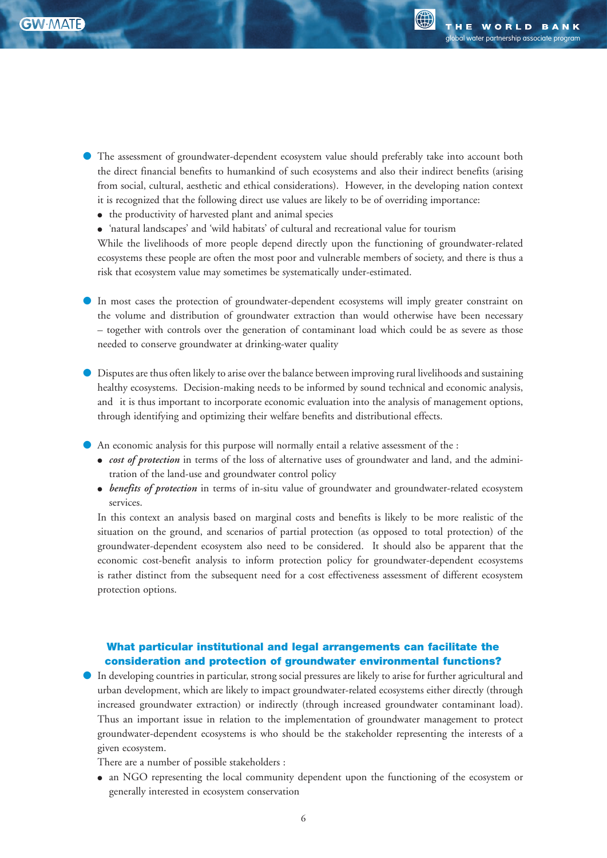**ÀÕ`Ü>ÌiÀÊ >>}iiÌ**

**'ROUNDWATER -ANAGEMENT !DVISORY 4EAM**

- The assessment of groundwater-dependent ecosystem value should preferably take into account both the direct financial benefits to humankind of such ecosystems and also their indirect benefits (arising from social, cultural, aesthetic and ethical considerations). However, in the developing nation context it is recognized that the following direct use values are likely to be of overriding importance:
	- the productivity of harvested plant and animal species
	- 'natural landscapes' and 'wild habitats' of cultural and recreational value for tourism

While the livelihoods of more people depend directly upon the functioning of groundwater-related ecosystems these people are often the most poor and vulnerable members of society, and there is thus a risk that ecosystem value may sometimes be systematically under-estimated.

- In most cases the protection of groundwater-dependent ecosystems will imply greater constraint on the volume and distribution of groundwater extraction than would otherwise have been necessary – together with controls over the generation of contaminant load which could be as severe as those needed to conserve groundwater at drinking-water quality
- Disputes are thus often likely to arise over the balance between improving rural livelihoods and sustaining healthy ecosystems. Decision-making needs to be informed by sound technical and economic analysis, and it is thus important to incorporate economic evaluation into the analysis of management options, through identifying and optimizing their welfare benefits and distributional effects.
- An economic analysis for this purpose will normally entail a relative assessment of the :
	- *cost of protection* in terms of the loss of alternative uses of groundwater and land, and the adminitration of the land-use and groundwater control policy
	- *benefits of protection* in terms of in-situ value of groundwater and groundwater-related ecosystem services.

In this context an analysis based on marginal costs and benefits is likely to be more realistic of the situation on the ground, and scenarios of partial protection (as opposed to total protection) of the groundwater-dependent ecosystem also need to be considered. It should also be apparent that the economic cost-benefit analysis to inform protection policy for groundwater-dependent ecosystems is rather distinct from the subsequent need for a cost effectiveness assessment of different ecosystem protection options.

# What particular institutional and legal arrangements can facilitate the consideration and protection of groundwater environmental functions?

● In developing countries in particular, strong social pressures are likely to arise for further agricultural and urban development, which are likely to impact groundwater-related ecosystems either directly (through increased groundwater extraction) or indirectly (through increased groundwater contaminant load). Thus an important issue in relation to the implementation of groundwater management to protect groundwater-dependent ecosystems is who should be the stakeholder representing the interests of a given ecosystem.

There are a number of possible stakeholders :

● an NGO representing the local community dependent upon the functioning of the ecosystem or generally interested in ecosystem conservation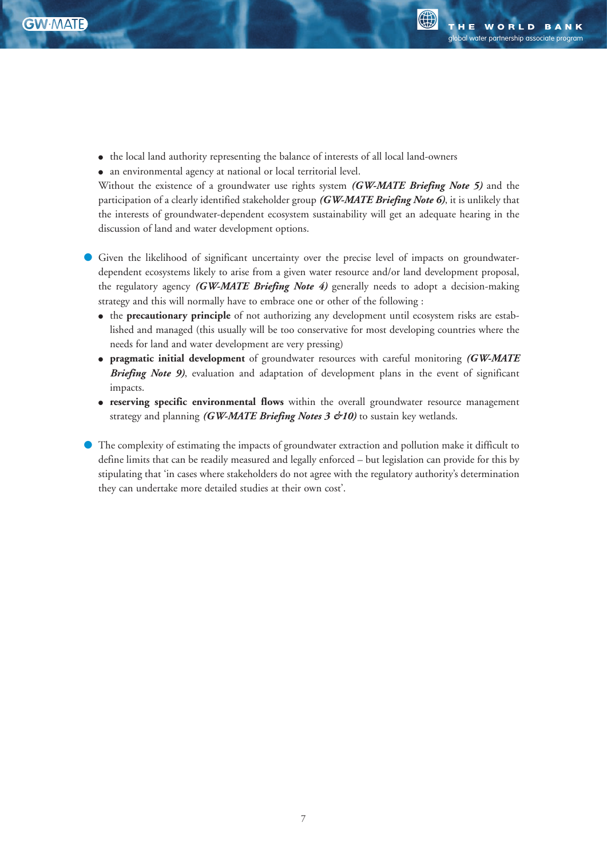(A)

● the local land authority representing the balance of interests of all local land-owners

● an environmental agency at national or local territorial level.

Without the existence of a groundwater use rights system *(GW-MATE Briefing Note 5)* and the participation of a clearly identified stakeholder group *(GW-MATE Briefing Note 6)*, it is unlikely that the interests of groundwater-dependent ecosystem sustainability will get an adequate hearing in the discussion of land and water development options.

- Given the likelihood of significant uncertainty over the precise level of impacts on groundwaterdependent ecosystems likely to arise from a given water resource and/or land development proposal, the regulatory agency *(GW-MATE Briefing Note 4)* generally needs to adopt a decision-making strategy and this will normally have to embrace one or other of the following :
	- the **precautionary principle** of not authorizing any development until ecosystem risks are established and managed (this usually will be too conservative for most developing countries where the needs for land and water development are very pressing)
	- **pragmatic initial development** of groundwater resources with careful monitoring *(GW-MATE Briefing Note 9)*, evaluation and adaptation of development plans in the event of significant impacts.
	- **reserving specific environmental flows** within the overall groundwater resource management strategy and planning *(GW-MATE Briefing Notes 3 &10)* to sustain key wetlands.
- The complexity of estimating the impacts of groundwater extraction and pollution make it difficult to define limits that can be readily measured and legally enforced – but legislation can provide for this by stipulating that 'in cases where stakeholders do not agree with the regulatory authority's determination they can undertake more detailed studies at their own cost'.